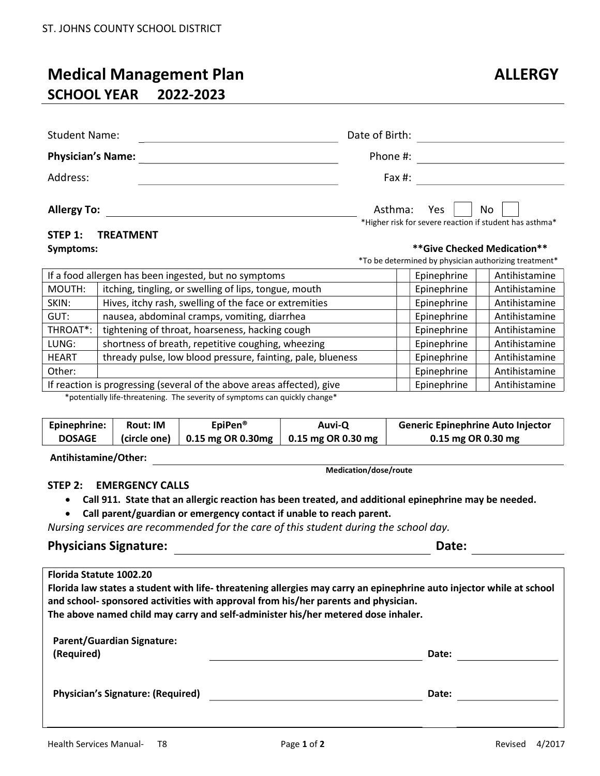## Medical Management Plan ALLERGY SCHOOL YEAR 2022-2023

| <b>Student Name:</b>     | Date of Birth: |                                                               |
|--------------------------|----------------|---------------------------------------------------------------|
| <b>Physician's Name:</b> | Phone #:       |                                                               |
| Address:                 | Fax $#$ :      |                                                               |
| <b>Allergy To:</b>       | Asthma: Yes    | No<br>*Higher risk for severe reaction if student has asthma* |

# STEP 1: TREATMENT

Symptoms:  $**$ Give Checked Medication $**$ 

\*To be determined by physician authorizing treatment\*

| If a food allergen has been ingested, but no symptoms                  | Epinephrine | Antihistamine |
|------------------------------------------------------------------------|-------------|---------------|
| itching, tingling, or swelling of lips, tongue, mouth                  | Epinephrine | Antihistamine |
| Hives, itchy rash, swelling of the face or extremities                 | Epinephrine | Antihistamine |
| nausea, abdominal cramps, vomiting, diarrhea                           | Epinephrine | Antihistamine |
| tightening of throat, hoarseness, hacking cough                        | Epinephrine | Antihistamine |
| shortness of breath, repetitive coughing, wheezing                     | Epinephrine | Antihistamine |
| thready pulse, low blood pressure, fainting, pale, blueness            | Epinephrine | Antihistamine |
|                                                                        | Epinephrine | Antihistamine |
| If reaction is progressing (several of the above areas affected), give | Epinephrine | Antihistamine |
|                                                                        |             |               |

\*potentially life-threatening. The severity of symptoms can quickly change\*

| Epinephrine:  | <b>Rout: IM</b> | EpiPen <sup>®</sup> | Auvi-Q                                                            | <b>Generic Epinephrine Auto Injector</b> |
|---------------|-----------------|---------------------|-------------------------------------------------------------------|------------------------------------------|
| <b>DOSAGE</b> |                 |                     | (circle one) $\vert$ 0.15 mg OR 0.30mg $\vert$ 0.15 mg OR 0.30 mg | 0.15 mg OR 0.30 mg                       |
|               |                 |                     |                                                                   |                                          |

Antihistamine/Other:

Medication/dose/route

### STEP 2: EMERGENCY CALLS

Call 911. State that an allergic reaction has been treated, and additional epinephrine may be needed.

Call parent/guardian or emergency contact if unable to reach parent.

Nursing services are recommended for the care of this student during the school day.

### Physicians Signature: Date:

| <b>Florida Statute 1002.20</b>                                                                                                                                                                            |       |  |  |
|-----------------------------------------------------------------------------------------------------------------------------------------------------------------------------------------------------------|-------|--|--|
| Florida law states a student with life-threatening allergies may carry an epinephrine auto injector while at school<br>and school- sponsored activities with approval from his/her parents and physician. |       |  |  |
| The above named child may carry and self-administer his/her metered dose inhaler.                                                                                                                         |       |  |  |
| <b>Parent/Guardian Signature:</b><br>(Required)                                                                                                                                                           | Date: |  |  |
| <b>Physician's Signature: (Required)</b>                                                                                                                                                                  | Date: |  |  |